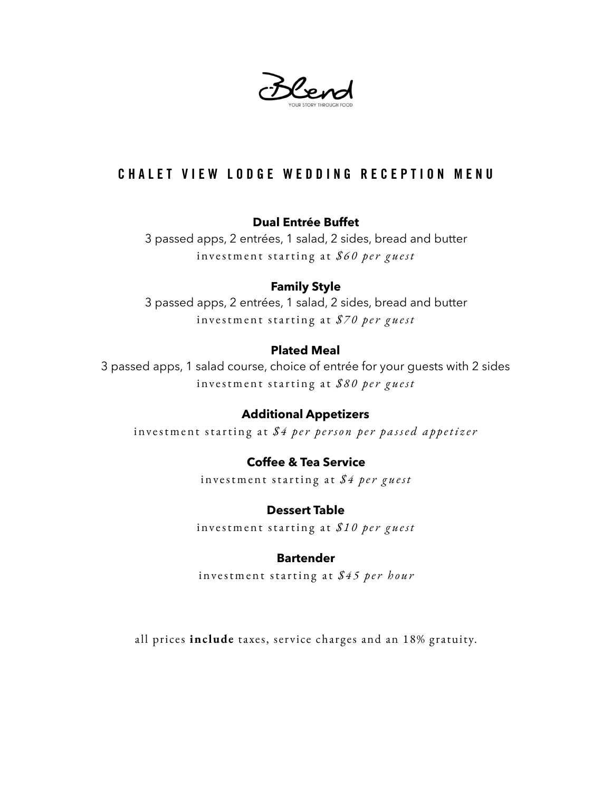Blend

## CHALET VIEW LODGE WEDDING RECEPTION MENU

#### **Dual Entrée Buffet**

3 passed apps, 2 entrées, 1 salad, 2 sides, bread and butter investment starting at *\$60 per guest*

#### **Family Style**

3 passed apps, 2 entrées, 1 salad, 2 sides, bread and butter investment starting at *\$70 per guest*

#### **Plated Meal**

3 passed apps, 1 salad course, choice of entrée for your guests with 2 sides investment starting at *\$80 per guest*

#### **Additional Appetizers**

investment starting at *\$4 per person per passed appetizer*

#### **Coffee & Tea Service**

investment starting at *\$4 per guest*

#### **Dessert Table**

investment starting at *\$10 per guest*

#### **Bartender**

investment starting at *\$45 per hour*

all prices **include** taxes, service charges and an 18% gratuity.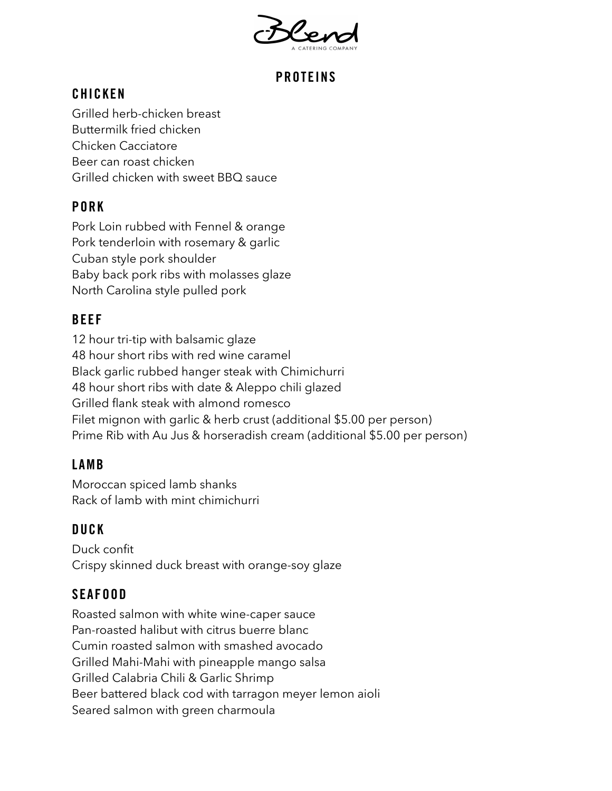

# PROTEINS

## CHICKEN

Grilled herb-chicken breast Buttermilk fried chicken Chicken Cacciatore Beer can roast chicken Grilled chicken with sweet BBQ sauce

# PORK

Pork Loin rubbed with Fennel & orange Pork tenderloin with rosemary & garlic Cuban style pork shoulder Baby back pork ribs with molasses glaze North Carolina style pulled pork

## BEEF

12 hour tri-tip with balsamic glaze 48 hour short ribs with red wine caramel Black garlic rubbed hanger steak with Chimichurri 48 hour short ribs with date & Aleppo chili glazed Grilled flank steak with almond romesco Filet mignon with garlic & herb crust (additional \$5.00 per person) Prime Rib with Au Jus & horseradish cream (additional \$5.00 per person)

## LAMB

Moroccan spiced lamb shanks Rack of lamb with mint chimichurri

## DUCK

Duck confit Crispy skinned duck breast with orange-soy glaze

## SEAFOOD

Roasted salmon with white wine-caper sauce Pan-roasted halibut with citrus buerre blanc Cumin roasted salmon with smashed avocado Grilled Mahi-Mahi with pineapple mango salsa Grilled Calabria Chili & Garlic Shrimp Beer battered black cod with tarragon meyer lemon aioli Seared salmon with green charmoula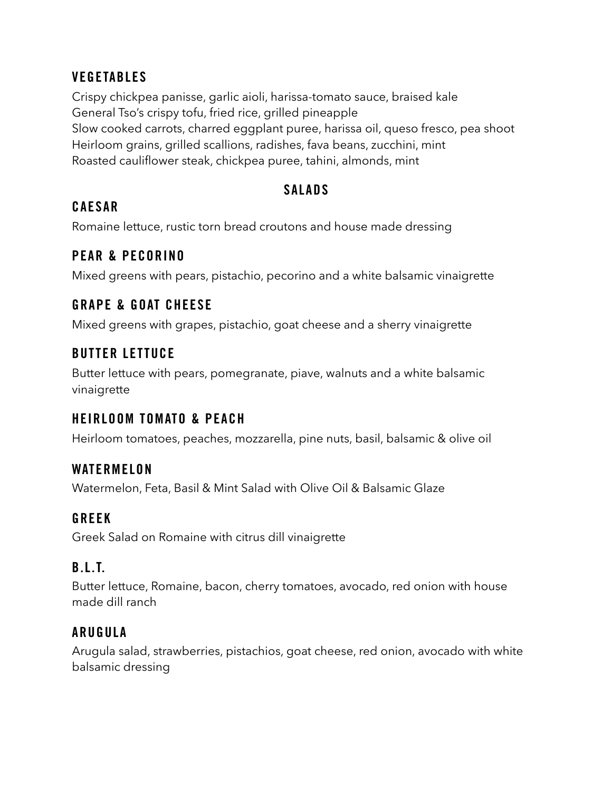### **VEGETABLES**

Crispy chickpea panisse, garlic aioli, harissa-tomato sauce, braised kale General Tso's crispy tofu, fried rice, grilled pineapple Slow cooked carrots, charred eggplant puree, harissa oil, queso fresco, pea shoot Heirloom grains, grilled scallions, radishes, fava beans, zucchini, mint Roasted cauliflower steak, chickpea puree, tahini, almonds, mint

#### SALADS

#### CAESAR

Romaine lettuce, rustic torn bread croutons and house made dressing

#### PEAR & PECORINO

Mixed greens with pears, pistachio, pecorino and a white balsamic vinaigrette

### GRAPE & GOAT CHEESE

Mixed greens with grapes, pistachio, goat cheese and a sherry vinaigrette

### BUTTER LETTUCE

Butter lettuce with pears, pomegranate, piave, walnuts and a white balsamic vinaigrette

### HEIRLOOM TOMATO & PEACH

Heirloom tomatoes, peaches, mozzarella, pine nuts, basil, balsamic & olive oil

### WATERMELON

Watermelon, Feta, Basil & Mint Salad with Olive Oil & Balsamic Glaze

### GREEK

Greek Salad on Romaine with citrus dill vinaigrette

### B.L.T.

Butter lettuce, Romaine, bacon, cherry tomatoes, avocado, red onion with house made dill ranch

### ARUGULA

Arugula salad, strawberries, pistachios, goat cheese, red onion, avocado with white balsamic dressing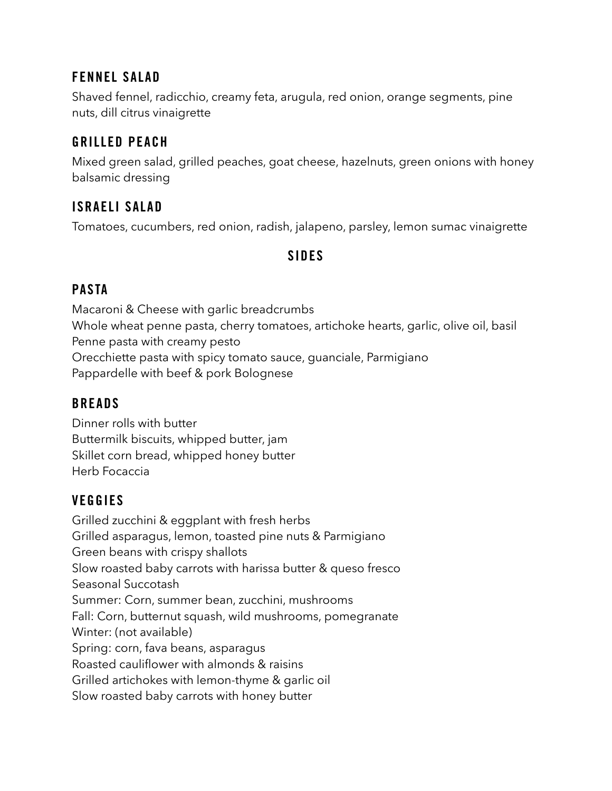### FENNEL SALAD

Shaved fennel, radicchio, creamy feta, arugula, red onion, orange segments, pine nuts, dill citrus vinaigrette

## GRILLED PEACH

Mixed green salad, grilled peaches, goat cheese, hazelnuts, green onions with honey balsamic dressing

## ISRAELI SALAD

Tomatoes, cucumbers, red onion, radish, jalapeno, parsley, lemon sumac vinaigrette

#### SIDES

### PASTA

Macaroni & Cheese with garlic breadcrumbs Whole wheat penne pasta, cherry tomatoes, artichoke hearts, garlic, olive oil, basil Penne pasta with creamy pesto Orecchiette pasta with spicy tomato sauce, guanciale, Parmigiano Pappardelle with beef & pork Bolognese

### **BREADS**

Dinner rolls with butter Buttermilk biscuits, whipped butter, jam Skillet corn bread, whipped honey butter Herb Focaccia

## **VEGGIES**

Grilled zucchini & eggplant with fresh herbs Grilled asparagus, lemon, toasted pine nuts & Parmigiano Green beans with crispy shallots Slow roasted baby carrots with harissa butter & queso fresco Seasonal Succotash Summer: Corn, summer bean, zucchini, mushrooms Fall: Corn, butternut squash, wild mushrooms, pomegranate Winter: (not available) Spring: corn, fava beans, asparagus Roasted cauliflower with almonds & raisins Grilled artichokes with lemon-thyme & garlic oil Slow roasted baby carrots with honey butter